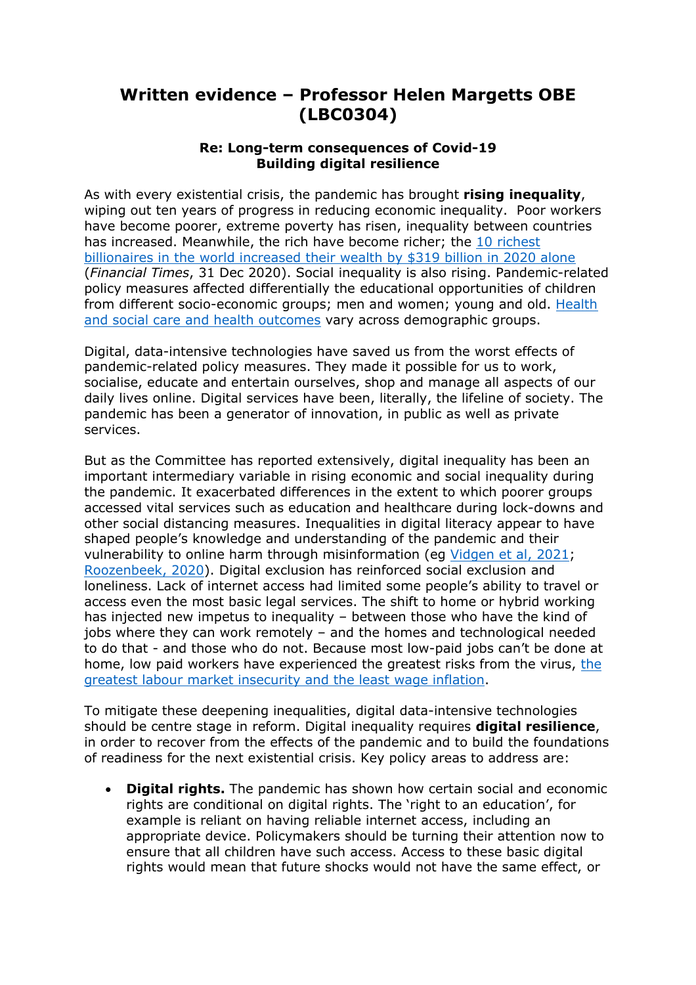## **Written evidence – Professor Helen Margetts OBE (LBC0304)**

## **Re: Long-term consequences of Covid-19 Building digital resilience**

As with every existential crisis, the pandemic has brought **rising inequality**, wiping out ten years of progress in reducing economic inequality.Poor workers have become poorer, extreme poverty has risen, inequality between countries has increased. Meanwhile, the rich have become richer; the [10](https://www.ft.com/content/cd075d91-fafa-47c8-a295-85bbd7a36b50) [richest](https://www.ft.com/content/cd075d91-fafa-47c8-a295-85bbd7a36b50) [billionaires](https://www.ft.com/content/cd075d91-fafa-47c8-a295-85bbd7a36b50) [in](https://www.ft.com/content/cd075d91-fafa-47c8-a295-85bbd7a36b50) [the](https://www.ft.com/content/cd075d91-fafa-47c8-a295-85bbd7a36b50) [world](https://www.ft.com/content/cd075d91-fafa-47c8-a295-85bbd7a36b50) [increased](https://www.ft.com/content/cd075d91-fafa-47c8-a295-85bbd7a36b50) [their](https://www.ft.com/content/cd075d91-fafa-47c8-a295-85bbd7a36b50) [wealth](https://www.ft.com/content/cd075d91-fafa-47c8-a295-85bbd7a36b50) [by](https://www.ft.com/content/cd075d91-fafa-47c8-a295-85bbd7a36b50) [\\$319](https://www.ft.com/content/cd075d91-fafa-47c8-a295-85bbd7a36b50) [billion](https://www.ft.com/content/cd075d91-fafa-47c8-a295-85bbd7a36b50) [in](https://www.ft.com/content/cd075d91-fafa-47c8-a295-85bbd7a36b50) [2020](https://www.ft.com/content/cd075d91-fafa-47c8-a295-85bbd7a36b50) [alone](https://www.ft.com/content/cd075d91-fafa-47c8-a295-85bbd7a36b50) (*Financial Times*, 31 Dec 2020). Social inequality is also rising. Pandemic-related policy measures affected differentially the educational opportunities of children from different [s](https://www.weforum.org/agenda/2020/08/5-things-covid-19-has-taught-us-about-inequality/)ocio-economic groups; men and women; young and old. [Health](https://www.weforum.org/agenda/2020/08/5-things-covid-19-has-taught-us-about-inequality/) [and](https://www.weforum.org/agenda/2020/08/5-things-covid-19-has-taught-us-about-inequality/) [social](https://www.weforum.org/agenda/2020/08/5-things-covid-19-has-taught-us-about-inequality/) [care](https://www.weforum.org/agenda/2020/08/5-things-covid-19-has-taught-us-about-inequality/) [and](https://www.weforum.org/agenda/2020/08/5-things-covid-19-has-taught-us-about-inequality/) [health](https://www.weforum.org/agenda/2020/08/5-things-covid-19-has-taught-us-about-inequality/) [outcomes](https://www.weforum.org/agenda/2020/08/5-things-covid-19-has-taught-us-about-inequality/) vary across demographic groups.

Digital, data-intensive technologies have saved us from the worst effects of pandemic-related policy measures. They made it possible for us to work, socialise, educate and entertain ourselves, shop and manage all aspects of our daily lives online. Digital services have been, literally, the lifeline of society. The pandemic has been a generator of innovation, in public as well as private services.

But as the Committee has reported extensively, digital inequality has been an important intermediary variable in rising economic and social inequality during the pandemic. It exacerbated differences in the extent to which poorer groups accessed vital services such as education and healthcare during lock-downs and other social distancing measures. Inequalities in digital literacy appear to have shaped people's knowledge and understanding of the pandemic and their vulnerability to online harm through misinformation (eg [Vidgen](https://www.turing.ac.uk/research/publications/understanding-vulnerability-online-misinformation) [et](https://www.turing.ac.uk/research/publications/understanding-vulnerability-online-misinformation) [al,](https://www.turing.ac.uk/research/publications/understanding-vulnerability-online-misinformation) [2021;](https://www.turing.ac.uk/research/publications/understanding-vulnerability-online-misinformation) [Roozenbeek,](https://covid19.elsevierpure.com/en/publications/susceptibility-to-misinformation-about-covid-19-around-the-world-) [2020\)](https://covid19.elsevierpure.com/en/publications/susceptibility-to-misinformation-about-covid-19-around-the-world-). Digital exclusion has reinforced social exclusion and loneliness. Lack of internet access had limited some people's ability to travel or access even the most basic legal services. The shift to home or hybrid working has injected new impetus to inequality – between those who have the kind of jobs where they can work remotely – and the homes and technological needed to do that - and those who do not. Because most low-paid jobs can't be done at home, low paid workers have experienced the greatest risks from the virus, [the](https://www.theguardian.com/business/2021/aug/26/wishful-thinking-britain-inequality-gap-wealth-educational-covid) [greatest](https://www.theguardian.com/business/2021/aug/26/wishful-thinking-britain-inequality-gap-wealth-educational-covid) [labour](https://www.theguardian.com/business/2021/aug/26/wishful-thinking-britain-inequality-gap-wealth-educational-covid) [market](https://www.theguardian.com/business/2021/aug/26/wishful-thinking-britain-inequality-gap-wealth-educational-covid) [insecurity](https://www.theguardian.com/business/2021/aug/26/wishful-thinking-britain-inequality-gap-wealth-educational-covid) [and](https://www.theguardian.com/business/2021/aug/26/wishful-thinking-britain-inequality-gap-wealth-educational-covid) [the](https://www.theguardian.com/business/2021/aug/26/wishful-thinking-britain-inequality-gap-wealth-educational-covid) [least](https://www.theguardian.com/business/2021/aug/26/wishful-thinking-britain-inequality-gap-wealth-educational-covid) [wage](https://www.theguardian.com/business/2021/aug/26/wishful-thinking-britain-inequality-gap-wealth-educational-covid) [inflation](https://www.theguardian.com/business/2021/aug/26/wishful-thinking-britain-inequality-gap-wealth-educational-covid).

To mitigate these deepening inequalities, digital data-intensive technologies should be centre stage in reform. Digital inequality requires **digital resilience**, in order to recover from the effects of the pandemic and to build the foundations of readiness for the next existential crisis. Key policy areas to address are:

 **Digital rights.** The pandemic has shown how certain social and economic rights are conditional on digital rights. The 'right to an education', for example is reliant on having reliable internet access, including an appropriate device. Policymakers should be turning their attention now to ensure that all children have such access. Access to these basic digital rights would mean that future shocks would not have the same effect, or